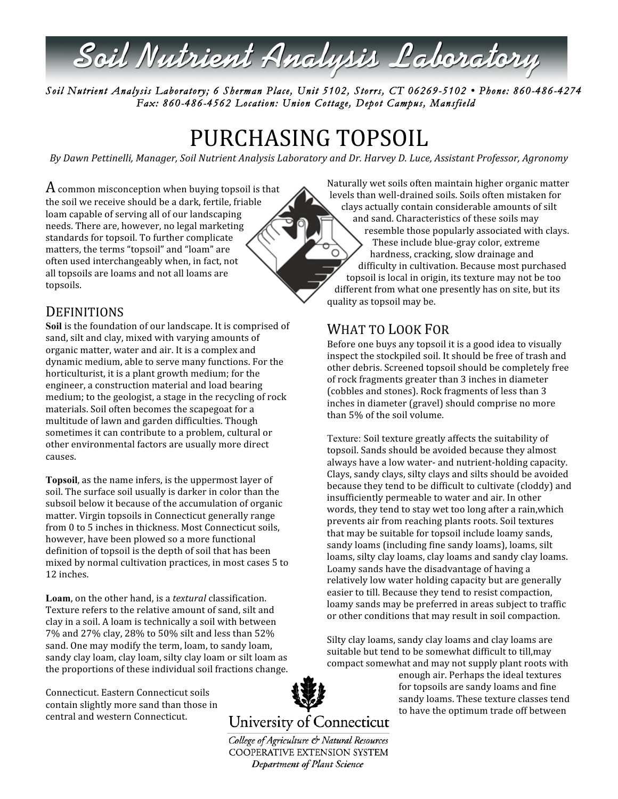

*Soil Nutrient Analysis Laboratory; 6 Sherman Place, Unit 5102, Storrs, CT 06269-5102 • Phone: 860-486-4274 Fax: 860-486-4562 Location: Union Cottage, Depot Campus, Mansfield* 

# PURCHASING TOPSOIL

*By Dawn Pettinelli, Manager, Soil Nutrient Analysis Laboratory and Dr. Harvey D. Luce, Assistant Professor, Agronomy*

 ${\rm A}$  common misconception when buying topsoil is that the soil we receive should be a dark, fertile, friable loam capable of serving all of our landscaping needs. There are, however, no legal marketing standards for topsoil. To further complicate matters, the terms "topsoil" and "loam" are often used interchangeably when, in fact, not all topsoils are loams and not all loams are topsoils.

#### Naturally wet soils often maintain higher organic matter levels than well‐drained soils. Soils often mistaken for clays actually contain considerable amounts of silt and sand. Characteristics of these soils may resemble those popularly associated with clays. These include blue‐gray color, extreme  $\circ$ hardness, cracking, slow drainage and difficulty in cultivation. Because most purchased topsoil is local in origin, its texture may not be too different from what one presently has on site, but its quality as topsoil may be.

## **DEFINITIONS**

**Soil** is the foundation of our landscape. It is comprised of sand, silt and clay, mixed with varying amounts of organic matter, water and air. It is a complex and dynamic medium, able to serve many functions. For the horticulturist, it is a plant growth medium; for the engineer, a construction material and load bearing medium; to the geologist, a stage in the recycling of rock materials. Soil often becomes the scapegoat for a multitude of lawn and garden difficulties. Though sometimes it can contribute to a problem, cultural or other environmental factors are usually more direct causes.

**Topsoil**, as the name infers, is the uppermost layer of soil. The surface soil usually is darker in color than the subsoil below it because of the accumulation of organic matter. Virgin topsoils in Connecticut generally range from 0 to 5 inches in thickness. Most Connecticut soils, however, have been plowed so a more functional definition of topsoil is the depth of soil that has been mixed by normal cultivation practices, in most cases 5 to 12 inches.

**Loam**, on the other hand, is a *textural* classification. Texture refers to the relative amount of sand, silt and clay in a soil. A loam is technically a soil with between 7% and 27% clay, 28% to 50% silt and less than 52% sand. One may modify the term, loam, to sandy loam, sandy clay loam, clay loam, silty clay loam or silt loam as the proportions of these individual soil fractions change.

Connecticut. Eastern Connecticut soils contain slightly more sand than those in central and western Connecticut.



College of Agriculture & Natural Resources **COOPERATIVE EXTENSION SYSTEM** Department of Plant Science

### WHAT TO LOOK FOR

Before one buys any topsoil it is a good idea to visually inspect the stockpiled soil. It should be free of trash and other debris. Screened topsoil should be completely free of rock fragments greater than 3 inches in diameter (cobbles and stones). Rock fragments of less than 3 inches in diameter (gravel) should comprise no more than 5% of the soil volume.

Texture: Soil texture greatly affects the suitability of topsoil. Sands should be avoided because they almost always have a low water‐ and nutrient‐holding capacity. Clays, sandy clays, silty clays and silts should be avoided because they tend to be difficult to cultivate (cloddy) and insufficiently permeable to water and air. In other words, they tend to stay wet too long after a rain,which prevents air from reaching plants roots. Soil textures that may be suitable for topsoil include loamy sands, sandy loams (including fine sandy loams), loams, silt loams, silty clay loams, clay loams and sandy clay loams. Loamy sands have the disadvantage of having a relatively low water holding capacity but are generally easier to till. Because they tend to resist compaction, loamy sands may be preferred in areas subject to traffic or other conditions that may result in soil compaction.

Silty clay loams, sandy clay loams and clay loams are suitable but tend to be somewhat difficult to till,may compact somewhat and may not supply plant roots with

> enough air. Perhaps the ideal textures for topsoils are sandy loams and fine sandy loams. These texture classes tend to have the optimum trade off between